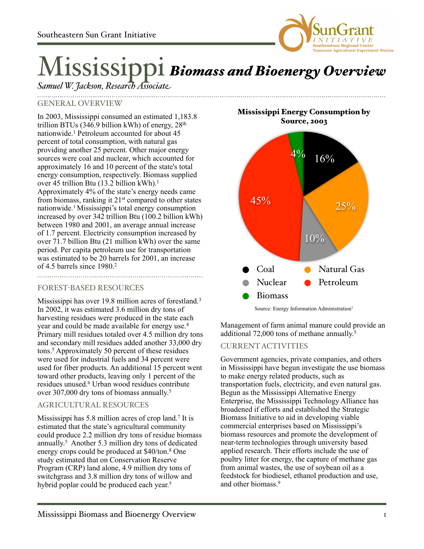

# Mississippi *Biomass and Bioenergy Overview*

*Samuel W. Jackson, Research Associate*

## GENERAL OVERVIEW

In 2003, Mississippi consumed an estimated 1,183.8 trillion BTUs (346.9 billion kWh) of energy,  $28<sup>th</sup>$ nationwide.1 Petroleum accounted for about 45 percent of total consumption, with natural gas providing another 25 percent. Other major energy sources were coal and nuclear, which accounted for approximately 16 and 10 percent of the state's total energy consumption, respectively. Biomass supplied over 45 trillion Btu (13.2 billion kWh).1 Approximately 4% of the state's energy needs came from biomass, ranking it 21st compared to other states nationwide.1 Mississippi's total energy consumption increased by over 342 trillion Btu (100.2 billion kWh) between 1980 and 2001, an average annual increase of 1.7 percent. Electricity consumption increased by over 71.7 billion Btu (21 million kWh) over the same period. Per capita petroleum use for transportation was estimated to be 20 barrels for 2001, an increase of 4.5 barrels since 1980.2

### FOREST-BASED RESOURCES

Mississippi has over 19.8 million acres of forestland.<sup>3</sup> In 2002, it was estimated 3.6 million dry tons of harvesting residues were produced in the state each year and could be made available for energy use.4 Primary mill residues totaled over 4.5 million dry tons and secondary mill residues added another 33,000 dry tons.5 Approximately 50 percent of these residues were used for industrial fuels and 34 percent were used for fiber products. An additional 15 percent went toward other products, leaving only 1 percent of the residues unused.6 Urban wood residues contribute over 307,000 dry tons of biomass annually.<sup>5</sup>

### AGRICULTURAL RESOURCES

Mississippi has 5.8 million acres of crop land.7 It is estimated that the state's agricultural community could produce 2.2 million dry tons of residue biomass annually. 5 Another 5.3 million dry tons of dedicated energy crops could be produced at \$40/ton.8 One study estimated that on Conservation Reserve Program (CRP) land alone, 4.9 million dry tons of switchgrass and 3.8 million dry tons of willow and hybrid poplar could be produced each year.<sup>5</sup>

Mississippi Energy Consumption by Source, 2003



Source: Energy Information Administration<sup>1</sup>

Management of farm animal manure could provide an additional 72,000 tons of methane annually. 5

### CURRENT ACTIVITIES

Government agencies, private companies, and others in Mississippi have begun investigate the use biomass to make energy related products, such as transportation fuels, electricity, and even natural gas. Begun as the Mississippi Alternative Energy Enterprise, the Mississippi Technology Alliance has broadened if efforts and established the Strategic Biomass Initiative to aid in developing viable commercial enterprises based on Mississippi's biomass resources and promote the development of near-term technologies through university based applied research. Their efforts include the use of poultry litter for energy, the capture of methane gas from animal wastes, the use of soybean oil as a feedstock for biodiesel, ethanol production and use, and other biomass.9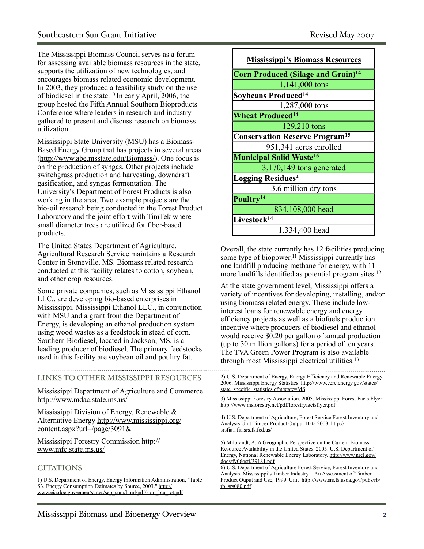The Mississippi Biomass Council serves as a forum for assessing available biomass resources in the state, supports the utilization of new technologies, and encourages biomass related economic development. In 2003, they produced a feasibility study on the use of biodiesel in the state.10 In early April, 2006, the group hosted the Fifth Annual Southern Bioproducts Conference where leaders in research and industry gathered to present and discuss research on biomass utilization.

Mississippi State University (MSU) has a Biomass-Based Energy Group that has projects in several areas (<http://www.abe.msstate.edu/Biomass/>). One focus is on the production of syngas. Other projects include switchgrass production and harvesting, downdraft gasification, and syngas fermentation. The University's Department of Forest Products is also working in the area. Two example projects are the bio-oil research being conducted in the Forest Product Laboratory and the joint effort with TimTek where small diameter trees are utilized for fiber-based products.

The United States Department of Agriculture, Agricultural Research Service maintains a Research Center in Stoneville, MS. Biomass related research conducted at this facility relates to cotton, soybean, and other crop resources.

Some private companies, such as Mississippi Ethanol LLC., are developing bio-based enterprises in Mississippi. Mississippi Ethanol LLC., in conjunction with MSU and a grant from the Department of Energy, is developing an ethanol production system using wood wastes as a feedstock in stead of corn. Southern Biodiesel, located in Jackson, MS, is a leading producer of biodiesel. The primary feedstocks used in this facility are soybean oil and poultry fat.

#### LINKS TO OTHER MISSISSIPPI RESOURCES

Mississippi Department of Agriculture and Commerce <http://www.mdac.state.ms.us/>

Mississippi Division of Energy, Renewable & Alternative Energy [http://www.mississippi.org/](http://www.mississippi.org/content.aspx?url=/page/3091&) [content.aspx?url=/page/3091&](http://www.mississippi.org/content.aspx?url=/page/3091&)

Mississippi Forestry Commission [http://](http://www.mfc.state.ms.us/) [www.mfc.state.ms.us/](http://www.mfc.state.ms.us/)

### **CITATIONS**

1) U.S. Department of Energy, Energy Information Administration, "Table S3. Energy Consumption Estimates by Source, 2003." [http://](http://www.eia.doe.gov/emeu/states/sep_sum/html/pdf/sum_btu_tot.pdf) [www.eia.doe.gov/emeu/states/sep\\_sum/html/pdf/sum\\_btu\\_tot.pdf](http://www.eia.doe.gov/emeu/states/sep_sum/html/pdf/sum_btu_tot.pdf)

| <b>Mississippi's Biomass Resources</b>               |
|------------------------------------------------------|
| <b>Corn Produced (Silage and Grain)<sup>14</sup></b> |
| 1,141,000 tons                                       |
| Soybeans Produced <sup>14</sup>                      |
| 1,287,000 tons                                       |
| <b>Wheat Produced<sup>14</sup></b>                   |
| 129,210 tons                                         |
| <b>Conservation Reserve Program<sup>15</sup></b>     |
| 951,341 acres enrolled                               |
| <b>Municipal Solid Waste<sup>16</sup></b>            |
| $3,170,149$ tons generated                           |
| <b>Logging Residues4</b>                             |
| 3.6 million dry tons                                 |
| Poultry <sup>14</sup>                                |
| 834,108,000 head                                     |
| Livestock <sup>14</sup>                              |
| 1,334,400 head                                       |

Overall, the state currently has 12 facilities producing some type of biopower. 11 Mississippi currently has one landfill producing methane for energy, with 11 more landfills identified as potential program sites.<sup>12</sup>

At the state government level, Mississippi offers a variety of incentives for developing, installing, and/or using biomass related energy. These include lowinterest loans for renewable energy and energy efficiency projects as well as a biofuels production incentive where producers of biodiesel and ethanol would receive \$0.20 per gallon of annual production (up to 30 million gallons) for a period of ten years. The TVA Green Power Program is also available through most Mississippi electrical utilities.13

2) U.S. Department of Energy, Energy Efficiency and Renewable Energy. 2006. Mississippi Energy Statistics. [http://www.eere.energy.gov/states/](http://www.eere.energy.gov/states/state_specific_statistics.cfm/state=MS) [state\\_specific\\_statistics.cfm/state=MS](http://www.eere.energy.gov/states/state_specific_statistics.cfm/state=MS)

3) Mississippi Forestry Association. 2005. Mississippi Forest Facts Flyer <http://www.msforestry.net/pdf/forestryfactsflyer.pdf>

4) U.S. Department of Agriculture, Forest Service Forest Inventory and Analysis Unit Timber Product Output Data 2003. [http://](http://srsfia1.fia.srs.fs.fed.us/) [srsfia1.fia.srs.fs.fed.us/](http://srsfia1.fia.srs.fs.fed.us/)

5) Milbrandt, A. A Geographic Perspective on the Current Biomass Resource Availability in the United States. 2005. U.S. Department of Energy, National Renewable Energy Laboratory. [http://www.nrel.gov/](http://www.nrel.gov/docs/fy06osti/39181.pdf) [docs/fy06osti/39181.pdf](http://www.nrel.gov/docs/fy06osti/39181.pdf)

6) U.S. Department of Agriculture Forest Service, Forest Inventory and Analysis. Mississippi's Timber Industry – An Assessment of Timber Product Ouput and Use, 1999. Unit [http://www.srs.fs.usda.gov/pubs/rb/](http://www.srs.fs.usda.gov/pubs/rb/rb_srs080.pdf) [rb\\_srs080.pdf](http://www.srs.fs.usda.gov/pubs/rb/rb_srs080.pdf)